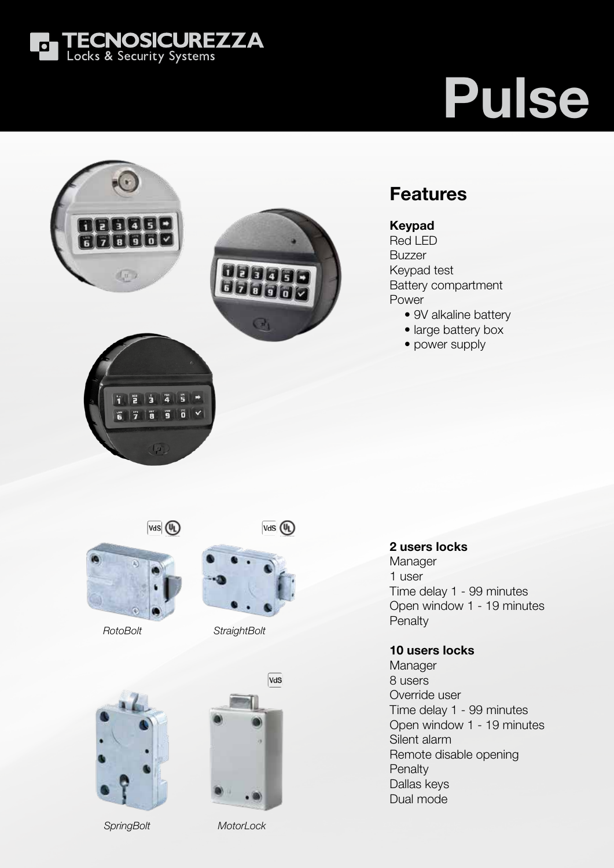

# Pulse

### 88880 ri delelo  $\frac{1}{2}$



### Features

#### Keypad

Red LED Buzzer Keypad test Battery compartment Power

- 9V alkaline battery
- large battery box
- power supply

 $\sqrt{4}$   $\sqrt{4}$ 

 $\frac{1}{2}$   $\frac{1}{3}$   $\frac{1}{4}$   $\frac{1}{5}$   $\frac{1}{7}$ 

**TE** 

 $\sqrt{a}$ 

 $\overline{\mathbf{g}}\parallel\overline{\mathbf{g}}\parallel\mathbf{v}$ 

ĩ





*RotoBolt StraightBolt*



*SpringBolt MotorLock*



#### 2 users locks Manager 1 user Time delay 1 - 99 minutes Open window 1 - 19 minutes Penalty

#### 10 users locks

Manager 8 users Override user Time delay 1 - 99 minutes Open window 1 - 19 minutes Silent alarm Remote disable opening **Penalty** Dallas keys Dual mode